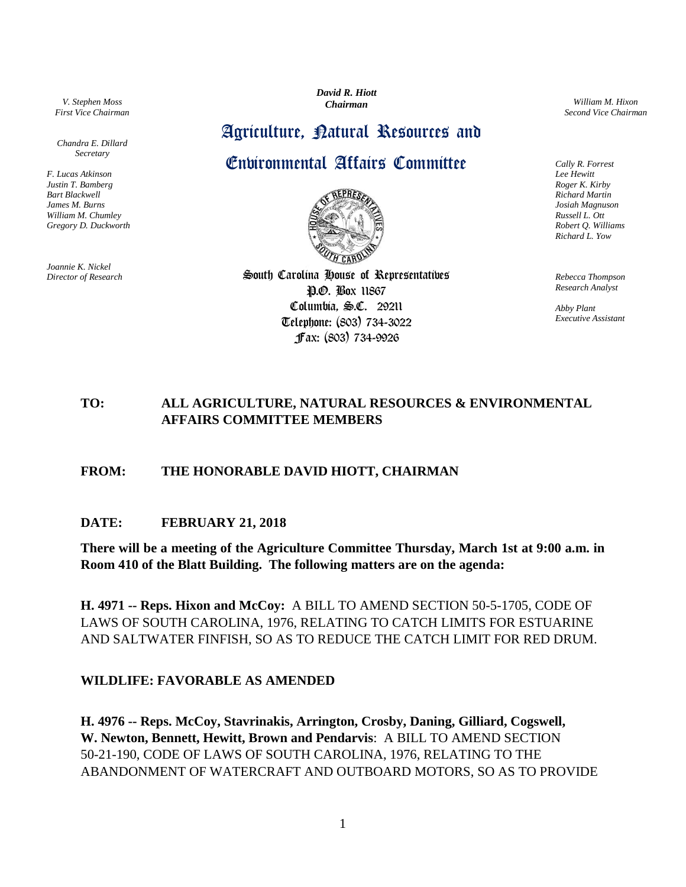*V. Stephen Moss First Vice Chairman*

*Chandra E. Dillard Secretary*

*F. Lucas Atkinson Justin T. Bamberg Bart Blackwell James M. Burns William M. Chumley Gregory D. Duckworth*

*Joannie K. Nickel Director of Research* *David R. Hiott Chairman*

# Agriculture, Ratural Resources and

## Environmental Affairs Committee



South Carolina House of Representatives P.O. Box 11867 Columbia, S.C. 29211 Telephone: (803) 734-3022 Fax: (803) 734-9926

*William M. Hixon Second Vice Chairman*

*Cally R. Forrest Lee Hewitt Roger K. Kirby Richard Martin Josiah Magnuson Russell L. Ott Robert Q. Williams Richard L. Yow*

*Rebecca Thompson Research Analyst*

*Abby Plant Executive Assistant*

## **TO: ALL AGRICULTURE, NATURAL RESOURCES & ENVIRONMENTAL AFFAIRS COMMITTEE MEMBERS**

#### **FROM: THE HONORABLE DAVID HIOTT, CHAIRMAN**

#### **DATE: FEBRUARY 21, 2018**

**There will be a meeting of the Agriculture Committee Thursday, March 1st at 9:00 a.m. in Room 410 of the Blatt Building. The following matters are on the agenda:**

**H. 4971 -- Reps. Hixon and McCoy:** A BILL TO AMEND SECTION 50-5-1705, CODE OF LAWS OF SOUTH CAROLINA, 1976, RELATING TO CATCH LIMITS FOR ESTUARINE AND SALTWATER FINFISH, SO AS TO REDUCE THE CATCH LIMIT FOR RED DRUM.

#### **WILDLIFE: FAVORABLE AS AMENDED**

**H. 4976 -- Reps. McCoy, Stavrinakis, Arrington, Crosby, Daning, Gilliard, Cogswell, W. Newton, Bennett, Hewitt, Brown and Pendarvis**: A BILL TO AMEND SECTION 50-21-190, CODE OF LAWS OF SOUTH CAROLINA, 1976, RELATING TO THE ABANDONMENT OF WATERCRAFT AND OUTBOARD MOTORS, SO AS TO PROVIDE